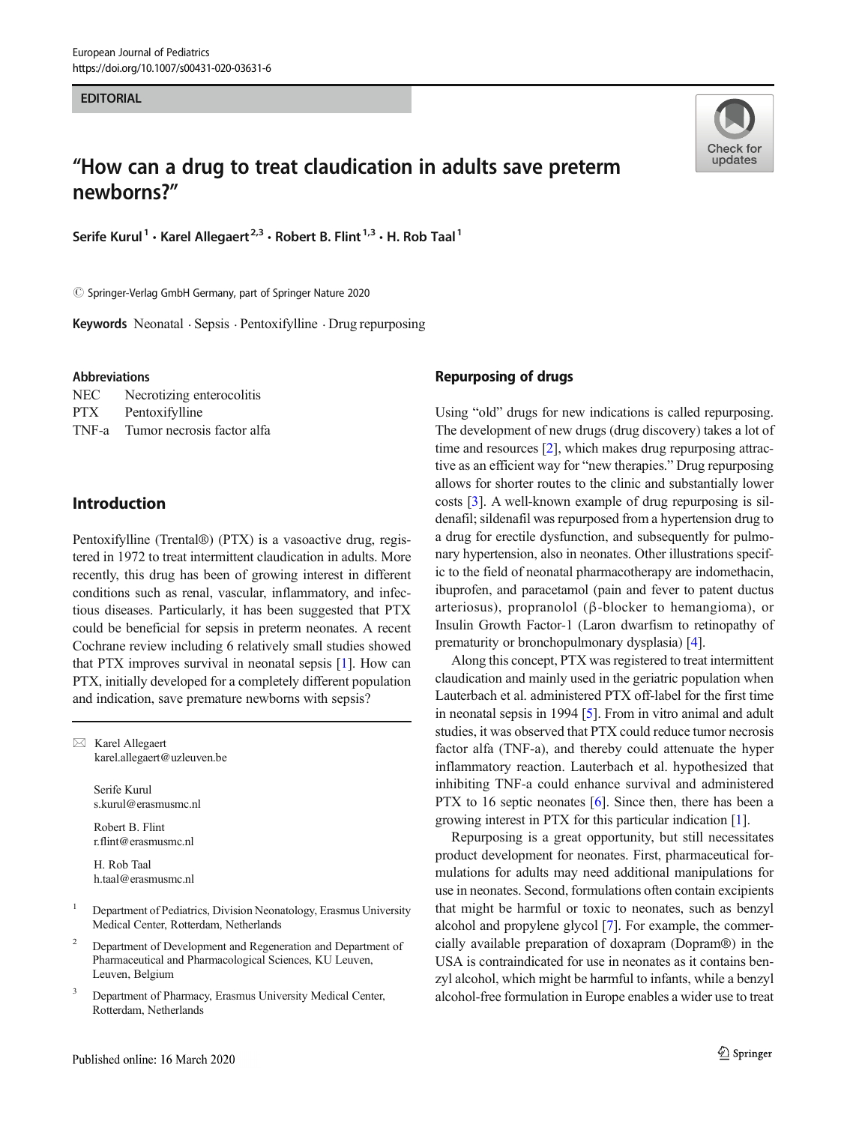#### **EDITORIAL** EDITORIAL

# "How can a drug to treat claudication in adults save preterm newborns?"

Serife Kurul<sup>1</sup> • Karel Allegaert<sup>2,3</sup> • Robert B. Flint<sup>1,3</sup> • H. Rob Taal<sup>1</sup>

 $\oslash$  Springer-Verlag GmbH Germany, part of Springer Nature 2020

Keywords Neonatal . Sepsis . Pentoxifylline . Drug repurposing

#### **Abbreviations**

| NEC-       | Necrotizing enterocolitis  |
|------------|----------------------------|
| <b>PTX</b> | Pentoxifylline             |
| TNF-a      | Tumor necrosis factor alfa |

## Introduction

Pentoxifylline (Trental®) (PTX) is a vasoactive drug, registered in 1972 to treat intermittent claudication in adults. More recently, this drug has been of growing interest in different conditions such as renal, vascular, inflammatory, and infectious diseases. Particularly, it has been suggested that PTX could be beneficial for sepsis in preterm neonates. A recent Cochrane review including 6 relatively small studies showed that PTX improves survival in neonatal sepsis [[1\]](#page-2-0). How can PTX, initially developed for a completely different population and indication, save premature newborns with sepsis?

 $\boxtimes$  Karel Allegaert [karel.allegaert@uzleuven.be](mailto:karel.allegaert@uzleuven.be) Serife Kurul s.kurul@erasmusmc.nl Robert B. Flint r.flint@erasmusmc.nl H. Rob Taal h.taal@erasmusmc.nl <sup>1</sup> Department of Pediatrics, Division Neonatology, Erasmus University Medical Center, Rotterdam, Netherlands <sup>2</sup> Department of Development and Regeneration and Department of Pharmaceutical and Pharmacological Sciences, KU Leuven, Leuven, Belgium

<sup>3</sup> Department of Pharmacy, Erasmus University Medical Center, Rotterdam, Netherlands

### Repurposing of drugs

Using "old" drugs for new indications is called repurposing. The development of new drugs (drug discovery) takes a lot of time and resources [\[2](#page-2-0)], which makes drug repurposing attractive as an efficient way for "new therapies." Drug repurposing allows for shorter routes to the clinic and substantially lower costs [[3\]](#page-2-0). A well-known example of drug repurposing is sildenafil; sildenafil was repurposed from a hypertension drug to a drug for erectile dysfunction, and subsequently for pulmonary hypertension, also in neonates. Other illustrations specific to the field of neonatal pharmacotherapy are indomethacin, ibuprofen, and paracetamol (pain and fever to patent ductus arteriosus), propranolol (β-blocker to hemangioma), or Insulin Growth Factor-1 (Laron dwarfism to retinopathy of prematurity or bronchopulmonary dysplasia) [[4\]](#page-2-0).

Along this concept, PTX was registered to treat intermittent claudication and mainly used in the geriatric population when Lauterbach et al. administered PTX off-label for the first time in neonatal sepsis in 1994 [\[5](#page-2-0)]. From in vitro animal and adult studies, it was observed that PTX could reduce tumor necrosis factor alfa (TNF-a), and thereby could attenuate the hyper inflammatory reaction. Lauterbach et al. hypothesized that inhibiting TNF-a could enhance survival and administered PTX to 16 septic neonates [\[6](#page-2-0)]. Since then, there has been a growing interest in PTX for this particular indication [\[1](#page-2-0)].

Repurposing is a great opportunity, but still necessitates product development for neonates. First, pharmaceutical formulations for adults may need additional manipulations for use in neonates. Second, formulations often contain excipients that might be harmful or toxic to neonates, such as benzyl alcohol and propylene glycol [[7](#page-2-0)]. For example, the commercially available preparation of doxapram (Dopram®) in the USA is contraindicated for use in neonates as it contains benzyl alcohol, which might be harmful to infants, while a benzyl alcohol-free formulation in Europe enables a wider use to treat

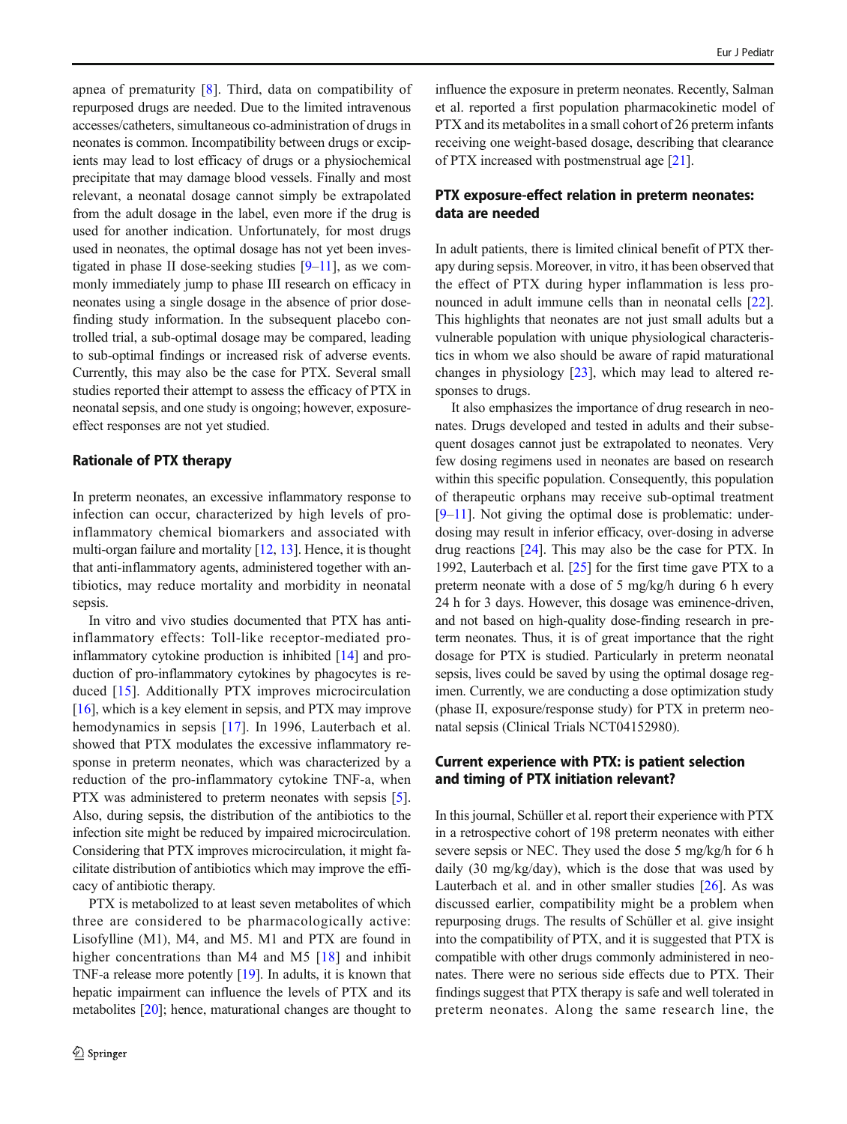apnea of prematurity [[8\]](#page-2-0). Third, data on compatibility of repurposed drugs are needed. Due to the limited intravenous accesses/catheters, simultaneous co-administration of drugs in neonates is common. Incompatibility between drugs or excipients may lead to lost efficacy of drugs or a physiochemical precipitate that may damage blood vessels. Finally and most relevant, a neonatal dosage cannot simply be extrapolated from the adult dosage in the label, even more if the drug is used for another indication. Unfortunately, for most drugs used in neonates, the optimal dosage has not yet been investigated in phase II dose-seeking studies [\[9](#page-2-0)–[11\]](#page-2-0), as we commonly immediately jump to phase III research on efficacy in neonates using a single dosage in the absence of prior dosefinding study information. In the subsequent placebo controlled trial, a sub-optimal dosage may be compared, leading to sub-optimal findings or increased risk of adverse events. Currently, this may also be the case for PTX. Several small studies reported their attempt to assess the efficacy of PTX in neonatal sepsis, and one study is ongoing; however, exposureeffect responses are not yet studied.

#### Rationale of PTX therapy

In preterm neonates, an excessive inflammatory response to infection can occur, characterized by high levels of proinflammatory chemical biomarkers and associated with multi-organ failure and mortality [\[12](#page-2-0), [13](#page-2-0)]. Hence, it is thought that anti-inflammatory agents, administered together with antibiotics, may reduce mortality and morbidity in neonatal sepsis.

In vitro and vivo studies documented that PTX has antiinflammatory effects: Toll-like receptor-mediated proinflammatory cytokine production is inhibited [\[14](#page-2-0)] and production of pro-inflammatory cytokines by phagocytes is reduced [[15\]](#page-2-0). Additionally PTX improves microcirculation [\[16\]](#page-2-0), which is a key element in sepsis, and PTX may improve hemodynamics in sepsis [[17\]](#page-2-0). In 1996, Lauterbach et al. showed that PTX modulates the excessive inflammatory response in preterm neonates, which was characterized by a reduction of the pro-inflammatory cytokine TNF-a, when PTX was administered to preterm neonates with sepsis [[5\]](#page-2-0). Also, during sepsis, the distribution of the antibiotics to the infection site might be reduced by impaired microcirculation. Considering that PTX improves microcirculation, it might facilitate distribution of antibiotics which may improve the efficacy of antibiotic therapy.

PTX is metabolized to at least seven metabolites of which three are considered to be pharmacologically active: Lisofylline (M1), M4, and M5. M1 and PTX are found in higher concentrations than M4 and M5 [[18](#page-2-0)] and inhibit TNF-a release more potently [\[19\]](#page-2-0). In adults, it is known that hepatic impairment can influence the levels of PTX and its metabolites [[20](#page-2-0)]; hence, maturational changes are thought to influence the exposure in preterm neonates. Recently, Salman et al. reported a first population pharmacokinetic model of PTX and its metabolites in a small cohort of 26 preterm infants receiving one weight-based dosage, describing that clearance of PTX increased with postmenstrual age [[21\]](#page-2-0).

## PTX exposure-effect relation in preterm neonates: data are needed

In adult patients, there is limited clinical benefit of PTX therapy during sepsis. Moreover, in vitro, it has been observed that the effect of PTX during hyper inflammation is less pronounced in adult immune cells than in neonatal cells [[22\]](#page-3-0). This highlights that neonates are not just small adults but a vulnerable population with unique physiological characteristics in whom we also should be aware of rapid maturational changes in physiology [[23\]](#page-3-0), which may lead to altered responses to drugs.

It also emphasizes the importance of drug research in neonates. Drugs developed and tested in adults and their subsequent dosages cannot just be extrapolated to neonates. Very few dosing regimens used in neonates are based on research within this specific population. Consequently, this population of therapeutic orphans may receive sub-optimal treatment [\[9](#page-2-0)–[11\]](#page-2-0). Not giving the optimal dose is problematic: underdosing may result in inferior efficacy, over-dosing in adverse drug reactions [\[24\]](#page-3-0). This may also be the case for PTX. In 1992, Lauterbach et al. [\[25\]](#page-3-0) for the first time gave PTX to a preterm neonate with a dose of 5 mg/kg/h during 6 h every 24 h for 3 days. However, this dosage was eminence-driven, and not based on high-quality dose-finding research in preterm neonates. Thus, it is of great importance that the right dosage for PTX is studied. Particularly in preterm neonatal sepsis, lives could be saved by using the optimal dosage regimen. Currently, we are conducting a dose optimization study (phase II, exposure/response study) for PTX in preterm neonatal sepsis (Clinical Trials NCT04152980).

### Current experience with PTX: is patient selection and timing of PTX initiation relevant?

In this journal, Schüller et al. report their experience with PTX in a retrospective cohort of 198 preterm neonates with either severe sepsis or NEC. They used the dose 5 mg/kg/h for 6 h daily (30 mg/kg/day), which is the dose that was used by Lauterbach et al. and in other smaller studies [\[26](#page-3-0)]. As was discussed earlier, compatibility might be a problem when repurposing drugs. The results of Schüller et al. give insight into the compatibility of PTX, and it is suggested that PTX is compatible with other drugs commonly administered in neonates. There were no serious side effects due to PTX. Their findings suggest that PTX therapy is safe and well tolerated in preterm neonates. Along the same research line, the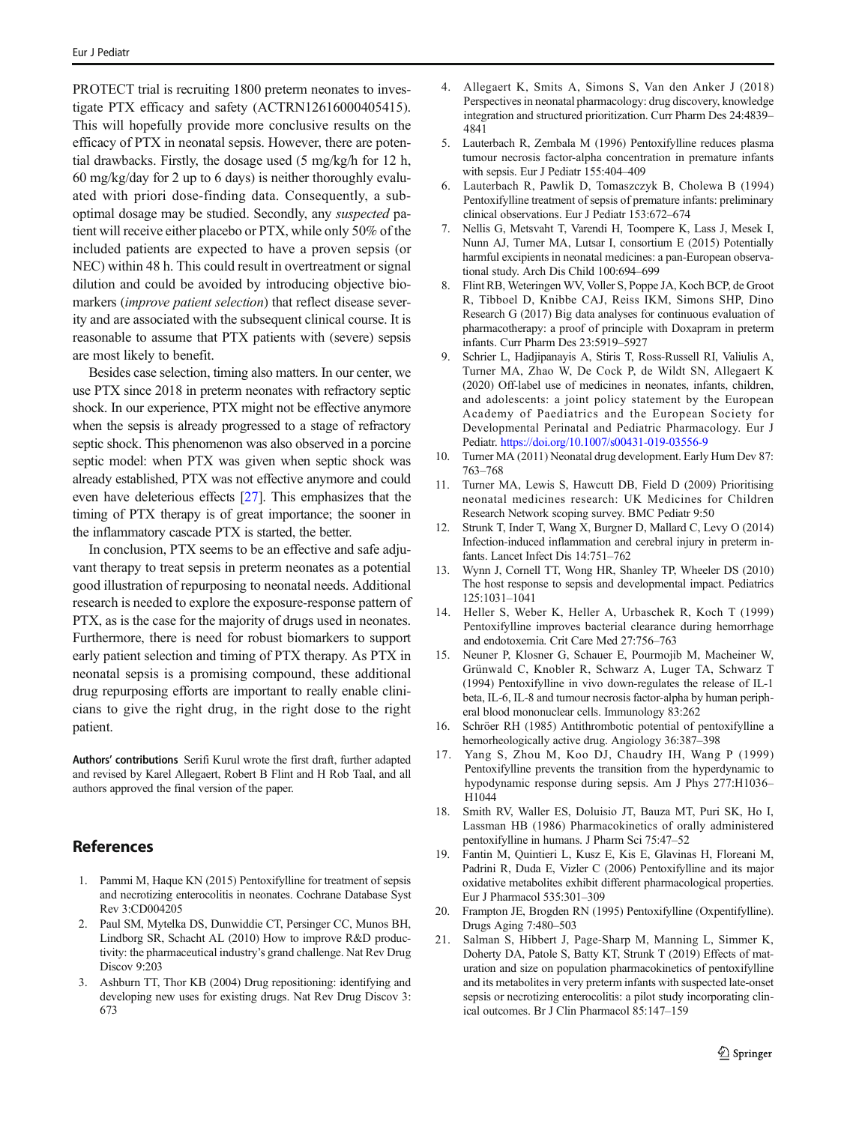<span id="page-2-0"></span>PROTECT trial is recruiting 1800 preterm neonates to investigate PTX efficacy and safety (ACTRN12616000405415). This will hopefully provide more conclusive results on the efficacy of PTX in neonatal sepsis. However, there are potential drawbacks. Firstly, the dosage used (5 mg/kg/h for 12 h, 60 mg/kg/day for 2 up to 6 days) is neither thoroughly evaluated with priori dose-finding data. Consequently, a suboptimal dosage may be studied. Secondly, any suspected patient will receive either placebo or PTX, while only 50% of the included patients are expected to have a proven sepsis (or NEC) within 48 h. This could result in overtreatment or signal dilution and could be avoided by introducing objective biomarkers (improve patient selection) that reflect disease severity and are associated with the subsequent clinical course. It is reasonable to assume that PTX patients with (severe) sepsis are most likely to benefit.

Besides case selection, timing also matters. In our center, we use PTX since 2018 in preterm neonates with refractory septic shock. In our experience, PTX might not be effective anymore when the sepsis is already progressed to a stage of refractory septic shock. This phenomenon was also observed in a porcine septic model: when PTX was given when septic shock was already established, PTX was not effective anymore and could even have deleterious effects [\[27\]](#page-3-0). This emphasizes that the timing of PTX therapy is of great importance; the sooner in the inflammatory cascade PTX is started, the better.

In conclusion, PTX seems to be an effective and safe adjuvant therapy to treat sepsis in preterm neonates as a potential good illustration of repurposing to neonatal needs. Additional research is needed to explore the exposure-response pattern of PTX, as is the case for the majority of drugs used in neonates. Furthermore, there is need for robust biomarkers to support early patient selection and timing of PTX therapy. As PTX in neonatal sepsis is a promising compound, these additional drug repurposing efforts are important to really enable clinicians to give the right drug, in the right dose to the right patient.

Authors' contributions Serifi Kurul wrote the first draft, further adapted and revised by Karel Allegaert, Robert B Flint and H Rob Taal, and all authors approved the final version of the paper.

## **References**

- 1. Pammi M, Haque KN (2015) Pentoxifylline for treatment of sepsis and necrotizing enterocolitis in neonates. Cochrane Database Syst Rev 3:CD004205
- 2. Paul SM, Mytelka DS, Dunwiddie CT, Persinger CC, Munos BH, Lindborg SR, Schacht AL (2010) How to improve R&D productivity: the pharmaceutical industry's grand challenge. Nat Rev Drug Discov 9:203
- 3. Ashburn TT, Thor KB (2004) Drug repositioning: identifying and developing new uses for existing drugs. Nat Rev Drug Discov 3: 673
- 4. Allegaert K, Smits A, Simons S, Van den Anker J (2018) Perspectives in neonatal pharmacology: drug discovery, knowledge integration and structured prioritization. Curr Pharm Des 24:4839– 4841
- 5. Lauterbach R, Zembala M (1996) Pentoxifylline reduces plasma tumour necrosis factor-alpha concentration in premature infants with sepsis. Eur J Pediatr 155:404–409
- 6. Lauterbach R, Pawlik D, Tomaszczyk B, Cholewa B (1994) Pentoxifylline treatment of sepsis of premature infants: preliminary clinical observations. Eur J Pediatr 153:672–674
- 7. Nellis G, Metsvaht T, Varendi H, Toompere K, Lass J, Mesek I, Nunn AJ, Turner MA, Lutsar I, consortium E (2015) Potentially harmful excipients in neonatal medicines: a pan-European observational study. Arch Dis Child 100:694–699
- 8. Flint RB, Weteringen WV, Voller S, Poppe JA, Koch BCP, de Groot R, Tibboel D, Knibbe CAJ, Reiss IKM, Simons SHP, Dino Research G (2017) Big data analyses for continuous evaluation of pharmacotherapy: a proof of principle with Doxapram in preterm infants. Curr Pharm Des 23:5919–5927
- 9. Schrier L, Hadjipanayis A, Stiris T, Ross-Russell RI, Valiulis A, Turner MA, Zhao W, De Cock P, de Wildt SN, Allegaert K (2020) Off-label use of medicines in neonates, infants, children, and adolescents: a joint policy statement by the European Academy of Paediatrics and the European Society for Developmental Perinatal and Pediatric Pharmacology. Eur J Pediatr. <https://doi.org/10.1007/s00431-019-03556-9>
- 10. Turner MA (2011) Neonatal drug development. Early Hum Dev 87: 763–768
- 11. Turner MA, Lewis S, Hawcutt DB, Field D (2009) Prioritising neonatal medicines research: UK Medicines for Children Research Network scoping survey. BMC Pediatr 9:50
- 12. Strunk T, Inder T, Wang X, Burgner D, Mallard C, Levy O (2014) Infection-induced inflammation and cerebral injury in preterm infants. Lancet Infect Dis 14:751–762
- 13. Wynn J, Cornell TT, Wong HR, Shanley TP, Wheeler DS (2010) The host response to sepsis and developmental impact. Pediatrics 125:1031–1041
- 14. Heller S, Weber K, Heller A, Urbaschek R, Koch T (1999) Pentoxifylline improves bacterial clearance during hemorrhage and endotoxemia. Crit Care Med 27:756–763
- 15. Neuner P, Klosner G, Schauer E, Pourmojib M, Macheiner W, Grünwald C, Knobler R, Schwarz A, Luger TA, Schwarz T (1994) Pentoxifylline in vivo down-regulates the release of IL-1 beta, IL-6, IL-8 and tumour necrosis factor-alpha by human peripheral blood mononuclear cells. Immunology 83:262
- 16. Schröer RH (1985) Antithrombotic potential of pentoxifylline a hemorheologically active drug. Angiology 36:387–398
- 17. Yang S, Zhou M, Koo DJ, Chaudry IH, Wang P (1999) Pentoxifylline prevents the transition from the hyperdynamic to hypodynamic response during sepsis. Am J Phys 277:H1036– H1044
- 18. Smith RV, Waller ES, Doluisio JT, Bauza MT, Puri SK, Ho I, Lassman HB (1986) Pharmacokinetics of orally administered pentoxifylline in humans. J Pharm Sci 75:47–52
- 19. Fantin M, Quintieri L, Kusz E, Kis E, Glavinas H, Floreani M, Padrini R, Duda E, Vizler C (2006) Pentoxifylline and its major oxidative metabolites exhibit different pharmacological properties. Eur J Pharmacol 535:301–309
- 20. Frampton JE, Brogden RN (1995) Pentoxifylline (Oxpentifylline). Drugs Aging 7:480–503
- 21. Salman S, Hibbert J, Page-Sharp M, Manning L, Simmer K, Doherty DA, Patole S, Batty KT, Strunk T (2019) Effects of maturation and size on population pharmacokinetics of pentoxifylline and its metabolites in very preterm infants with suspected late-onset sepsis or necrotizing enterocolitis: a pilot study incorporating clinical outcomes. Br J Clin Pharmacol 85:147–159